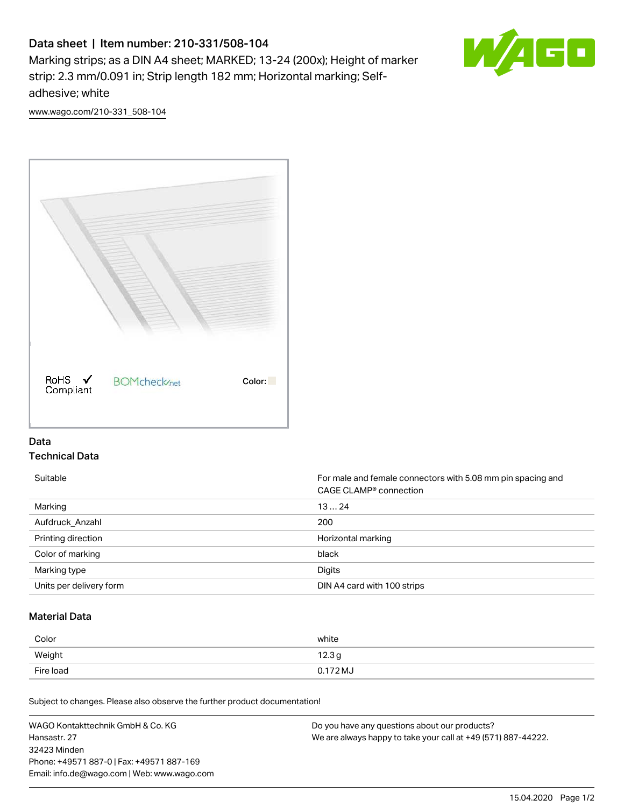# Data sheet | Item number: 210-331/508-104

Marking strips; as a DIN A4 sheet; MARKED; 13-24 (200x); Height of marker strip: 2.3 mm/0.091 in; Strip length 182 mm; Horizontal marking; Selfadhesive; white



[www.wago.com/210-331\\_508-104](http://www.wago.com/210-331_508-104)



## Data Technical Data

Suitable **Formale and female connectors with 5.08 mm pin spacing and female connectors with 5.08 mm pin spacing and** CAGE CLAMP® connection Marking 13 … 24 Aufdruck\_Anzahl 200 Printing direction **Exercise 2.1 Contract of the United States** Horizontal marking Color of marking black Marking type **Digits** Units per delivery form **DIN A4 card with 100 strips** 

### Material Data

| Color     | white             |
|-----------|-------------------|
| Weight    | 12.3 <sub>g</sub> |
| Fire load | 0.172 MJ          |

Subject to changes. Please also observe the further product documentation!

WAGO Kontakttechnik GmbH & Co. KG Hansastr. 27 32423 Minden Phone: +49571 887-0 | Fax: +49571 887-169 Email: info.de@wago.com | Web: www.wago.com Do you have any questions about our products? We are always happy to take your call at +49 (571) 887-44222.